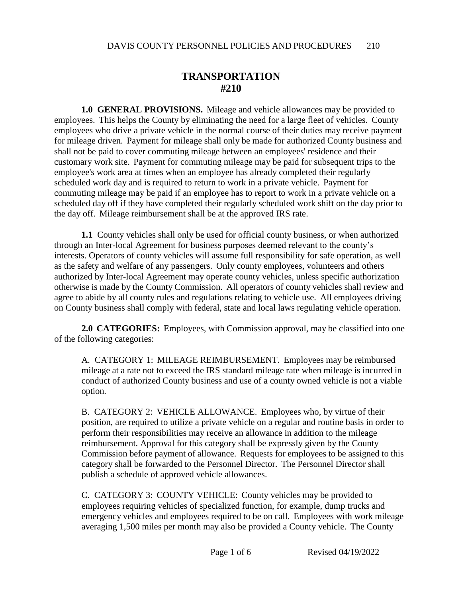## **TRANSPORTATION #210**

**1.0 GENERAL PROVISIONS.** Mileage and vehicle allowances may be provided to employees. This helps the County by eliminating the need for a large fleet of vehicles. County employees who drive a private vehicle in the normal course of their duties may receive payment for mileage driven. Payment for mileage shall only be made for authorized County business and shall not be paid to cover commuting mileage between an employees' residence and their customary work site. Payment for commuting mileage may be paid for subsequent trips to the employee's work area at times when an employee has already completed their regularly scheduled work day and is required to return to work in a private vehicle. Payment for commuting mileage may be paid if an employee has to report to work in a private vehicle on a scheduled day off if they have completed their regularly scheduled work shift on the day prior to the day off. Mileage reimbursement shall be at the approved IRS rate.

**1.1** County vehicles shall only be used for official county business, or when authorized through an Inter-local Agreement for business purposes deemed relevant to the county's interests. Operators of county vehicles will assume full responsibility for safe operation, as well as the safety and welfare of any passengers. Only county employees, volunteers and others authorized by Inter-local Agreement may operate county vehicles, unless specific authorization otherwise is made by the County Commission. All operators of county vehicles shall review and agree to abide by all county rules and regulations relating to vehicle use. All employees driving on County business shall comply with federal, state and local laws regulating vehicle operation.

**2.0 CATEGORIES:** Employees, with Commission approval, may be classified into one of the following categories:

A. CATEGORY 1: MILEAGE REIMBURSEMENT. Employees may be reimbursed mileage at a rate not to exceed the IRS standard mileage rate when mileage is incurred in conduct of authorized County business and use of a county owned vehicle is not a viable option.

B. CATEGORY 2: VEHICLE ALLOWANCE. Employees who, by virtue of their position, are required to utilize a private vehicle on a regular and routine basis in order to perform their responsibilities may receive an allowance in addition to the mileage reimbursement. Approval for this category shall be expressly given by the County Commission before payment of allowance. Requests for employees to be assigned to this category shall be forwarded to the Personnel Director. The Personnel Director shall publish a schedule of approved vehicle allowances.

C. CATEGORY 3: COUNTY VEHICLE: County vehicles may be provided to employees requiring vehicles of specialized function, for example, dump trucks and emergency vehicles and employees required to be on call. Employees with work mileage averaging 1,500 miles per month may also be provided a County vehicle. The County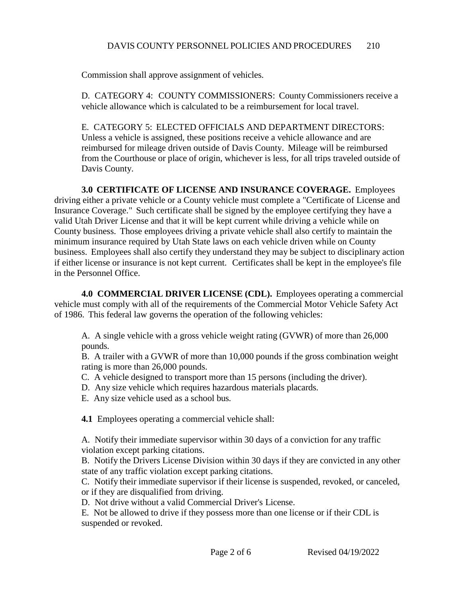Commission shall approve assignment of vehicles.

D. CATEGORY 4: COUNTY COMMISSIONERS: County Commissioners receive a vehicle allowance which is calculated to be a reimbursement for local travel.

E. CATEGORY 5: ELECTED OFFICIALS AND DEPARTMENT DIRECTORS: Unless a vehicle is assigned, these positions receive a vehicle allowance and are reimbursed for mileage driven outside of Davis County. Mileage will be reimbursed from the Courthouse or place of origin, whichever is less, for all trips traveled outside of Davis County.

**3.0 CERTIFICATE OF LICENSE AND INSURANCE COVERAGE.** Employees driving either a private vehicle or a County vehicle must complete a "Certificate of License and Insurance Coverage." Such certificate shall be signed by the employee certifying they have a valid Utah Driver License and that it will be kept current while driving a vehicle while on County business. Those employees driving a private vehicle shall also certify to maintain the minimum insurance required by Utah State laws on each vehicle driven while on County business. Employees shall also certify they understand they may be subject to disciplinary action if either license or insurance is not kept current. Certificates shall be kept in the employee's file in the Personnel Office.

**4.0 COMMERCIAL DRIVER LICENSE (CDL).** Employees operating a commercial vehicle must comply with all of the requirements of the Commercial Motor Vehicle Safety Act of 1986. This federal law governs the operation of the following vehicles:

A. A single vehicle with a gross vehicle weight rating (GVWR) of more than 26,000 pounds.

B. A trailer with a GVWR of more than 10,000 pounds if the gross combination weight rating is more than 26,000 pounds.

- C. A vehicle designed to transport more than 15 persons (including the driver).
- D. Any size vehicle which requires hazardous materials placards.
- E. Any size vehicle used as a school bus.

**4.1** Employees operating a commercial vehicle shall:

A. Notify their immediate supervisor within 30 days of a conviction for any traffic violation except parking citations.

B. Notify the Drivers License Division within 30 days if they are convicted in any other state of any traffic violation except parking citations.

C. Notify their immediate supervisor if their license is suspended, revoked, or canceled, or if they are disqualified from driving.

D. Not drive without a valid Commercial Driver's License.

E. Not be allowed to drive if they possess more than one license or if their CDL is suspended or revoked.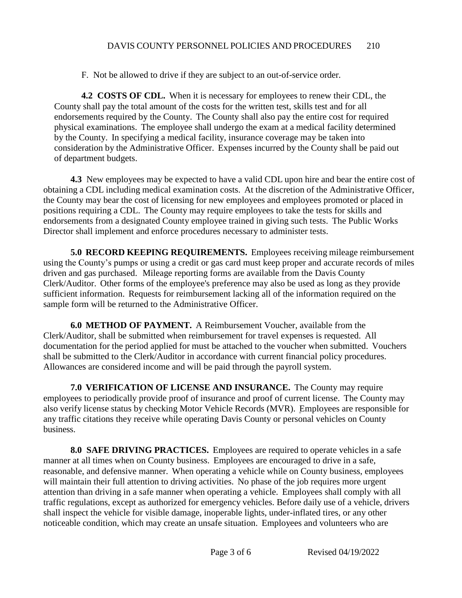F. Not be allowed to drive if they are subject to an out-of-service order.

**4.2 COSTS OF CDL.** When it is necessary for employees to renew their CDL, the County shall pay the total amount of the costs for the written test, skills test and for all endorsements required by the County. The County shall also pay the entire cost for required physical examinations. The employee shall undergo the exam at a medical facility determined by the County. In specifying a medical facility, insurance coverage may be taken into consideration by the Administrative Officer. Expenses incurred by the County shall be paid out of department budgets.

**4.3** New employees may be expected to have a valid CDL upon hire and bear the entire cost of obtaining a CDL including medical examination costs. At the discretion of the Administrative Officer, the County may bear the cost of licensing for new employees and employees promoted or placed in positions requiring a CDL. The County may require employees to take the tests for skills and endorsements from a designated County employee trained in giving such tests. The Public Works Director shall implement and enforce procedures necessary to administer tests.

**5.0 RECORD KEEPING REQUIREMENTS.** Employees receiving mileage reimbursement using the County's pumps or using a credit or gas card must keep proper and accurate records of miles driven and gas purchased. Mileage reporting forms are available from the Davis County Clerk/Auditor. Other forms of the employee's preference may also be used as long as they provide sufficient information. Requests for reimbursement lacking all of the information required on the sample form will be returned to the Administrative Officer.

**6.0 METHOD OF PAYMENT.** A Reimbursement Voucher, available from the Clerk/Auditor, shall be submitted when reimbursement for travel expenses is requested. All documentation for the period applied for must be attached to the voucher when submitted. Vouchers shall be submitted to the Clerk/Auditor in accordance with current financial policy procedures. Allowances are considered income and will be paid through the payroll system.

**7.0 VERIFICATION OF LICENSE AND INSURANCE.** The County may require employees to periodically provide proof of insurance and proof of current license. The County may also verify license status by checking Motor Vehicle Records (MVR). Employees are responsible for any traffic citations they receive while operating Davis County or personal vehicles on County business.

**8.0 SAFE DRIVING PRACTICES.** Employees are required to operate vehicles in a safe manner at all times when on County business. Employees are encouraged to drive in a safe, reasonable, and defensive manner. When operating a vehicle while on County business, employees will maintain their full attention to driving activities. No phase of the job requires more urgent attention than driving in a safe manner when operating a vehicle. Employees shall comply with all traffic regulations, except as authorized for emergency vehicles. Before daily use of a vehicle, drivers shall inspect the vehicle for visible damage, inoperable lights, under-inflated tires, or any other noticeable condition, which may create an unsafe situation. Employees and volunteers who are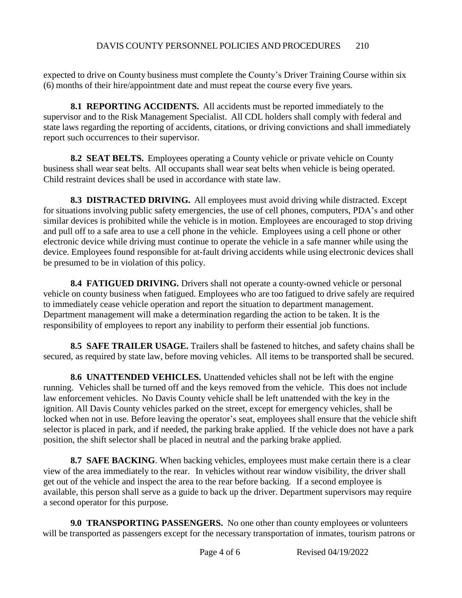expected to drive on County business must complete the County's Driver Training Course within six (6) months of their hire/appointment date and must repeat the course every five years.

**8.1 REPORTING ACCIDENTS.** All accidents must be reported immediately to the supervisor and to the Risk Management Specialist. All CDL holders shall comply with federal and state laws regarding the reporting of accidents, citations, or driving convictions and shall immediately report such occurrences to their supervisor.

**8.2 SEAT BELTS.** Employees operating a County vehicle or private vehicle on County business shall wear seat belts. All occupants shall wear seat belts when vehicle is being operated. Child restraint devices shall be used in accordance with state law.

**8.3 DISTRACTED DRIVING.** All employees must avoid driving while distracted. Except for situations involving public safety emergencies, the use of cell phones, computers, PDA's and other similar devices is prohibited while the vehicle is in motion. Employees are encouraged to stop driving and pull off to a safe area to use a cell phone in the vehicle. Employees using a cell phone or other electronic device while driving must continue to operate the vehicle in a safe manner while using the device. Employees found responsible for at-fault driving accidents while using electronic devices shall be presumed to be in violation of this policy.

**8.4 FATIGUED DRIVING.** Drivers shall not operate a county-owned vehicle or personal vehicle on county business when fatigued. Employees who are too fatigued to drive safely are required to immediately cease vehicle operation and report the situation to department management. Department management will make a determination regarding the action to be taken. It is the responsibility of employees to report any inability to perform their essential job functions.

**8.5 SAFE TRAILER USAGE.** Trailers shall be fastened to hitches, and safety chains shall be secured, as required by state law, before moving vehicles. All items to be transported shall be secured.

**8.6 UNATTENDED VEHICLES.** Unattended vehicles shall not be left with the engine running. Vehicles shall be turned off and the keys removed from the vehicle. This does not include law enforcement vehicles. No Davis County vehicle shall be left unattended with the key in the ignition. All Davis County vehicles parked on the street, except for emergency vehicles, shall be locked when not in use. Before leaving the operator's seat, employees shall ensure that the vehicle shift selector is placed in park, and if needed, the parking brake applied. If the vehicle does not have a park position, the shift selector shall be placed in neutral and the parking brake applied.

**8.7 SAFE BACKING**. When backing vehicles, employees must make certain there is a clear view of the area immediately to the rear. In vehicles without rear window visibility, the driver shall get out of the vehicle and inspect the area to the rear before backing. If a second employee is available, this person shall serve as a guide to back up the driver. Department supervisors may require a second operator for this purpose.

**9.0 TRANSPORTING PASSENGERS.** No one other than county employees or volunteers will be transported as passengers except for the necessary transportation of inmates, tourism patrons or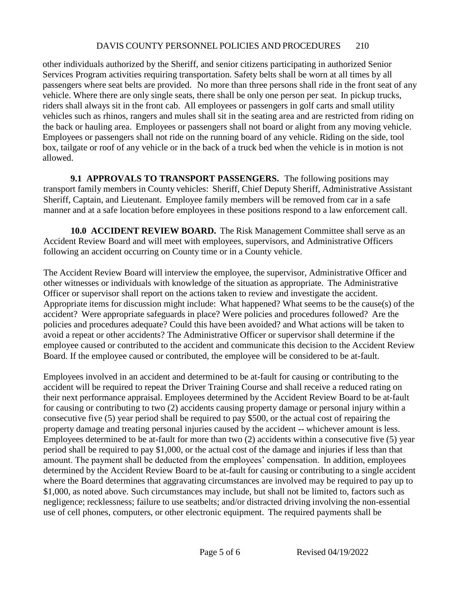## DAVIS COUNTY PERSONNEL POLICIES AND PROCEDURES 210

other individuals authorized by the Sheriff, and senior citizens participating in authorized Senior Services Program activities requiring transportation. Safety belts shall be worn at all times by all passengers where seat belts are provided. No more than three persons shall ride in the front seat of any vehicle. Where there are only single seats, there shall be only one person per seat. In pickup trucks, riders shall always sit in the front cab. All employees or passengers in golf carts and small utility vehicles such as rhinos, rangers and mules shall sit in the seating area and are restricted from riding on the back or hauling area. Employees or passengers shall not board or alight from any moving vehicle. Employees or passengers shall not ride on the running board of any vehicle. Riding on the side, tool box, tailgate or roof of any vehicle or in the back of a truck bed when the vehicle is in motion is not allowed.

**9.1 APPROVALS TO TRANSPORT PASSENGERS.** The following positions may transport family members in County vehicles: Sheriff, Chief Deputy Sheriff, Administrative Assistant Sheriff, Captain, and Lieutenant. Employee family members will be removed from car in a safe manner and at a safe location before employees in these positions respond to a law enforcement call.

**10.0 ACCIDENT REVIEW BOARD.** The Risk Management Committee shall serve as an Accident Review Board and will meet with employees, supervisors, and Administrative Officers following an accident occurring on County time or in a County vehicle.

The Accident Review Board will interview the employee, the supervisor, Administrative Officer and other witnesses or individuals with knowledge of the situation as appropriate. The Administrative Officer or supervisor shall report on the actions taken to review and investigate the accident. Appropriate items for discussion might include: What happened? What seems to be the cause(s) of the accident? Were appropriate safeguards in place? Were policies and procedures followed? Are the policies and procedures adequate? Could this have been avoided? and What actions will be taken to avoid a repeat or other accidents? The Administrative Officer or supervisor shall determine if the employee caused or contributed to the accident and communicate this decision to the Accident Review Board. If the employee caused or contributed, the employee will be considered to be at-fault.

Employees involved in an accident and determined to be at-fault for causing or contributing to the accident will be required to repeat the Driver Training Course and shall receive a reduced rating on their next performance appraisal. Employees determined by the Accident Review Board to be at-fault for causing or contributing to two (2) accidents causing property damage or personal injury within a consecutive five (5) year period shall be required to pay \$500, or the actual cost of repairing the property damage and treating personal injuries caused by the accident -- whichever amount is less. Employees determined to be at-fault for more than two (2) accidents within a consecutive five (5) year period shall be required to pay \$1,000, or the actual cost of the damage and injuries if less than that amount. The payment shall be deducted from the employees' compensation. In addition, employees determined by the Accident Review Board to be at-fault for causing or contributing to a single accident where the Board determines that aggravating circumstances are involved may be required to pay up to \$1,000, as noted above. Such circumstances may include, but shall not be limited to, factors such as negligence; recklessness; failure to use seatbelts; and/or distracted driving involving the non-essential use of cell phones, computers, or other electronic equipment. The required payments shall be